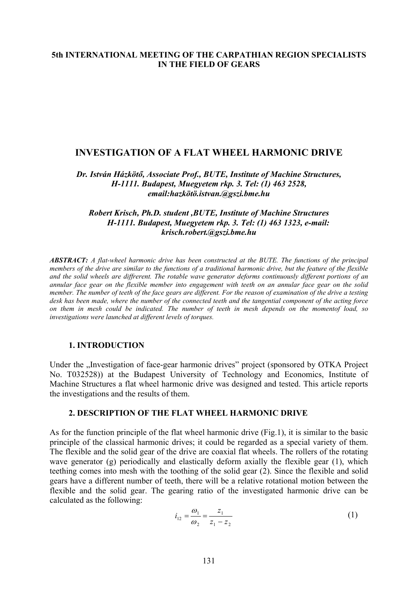# **5th INTERNATIONAL MEETING OF THE CARPATHIAN REGION SPECIALISTS IN THE FIELD OF GEARS**

## **INVESTIGATION OF A FLAT WHEEL HARMONIC DRIVE**

*Dr. István Házkötő, Associate Prof., BUTE, Institute of Machine Structures, H-1111. Budapest, Muegyetem rkp. 3. Tel: (1) 463 2528, email:hazkötö.istvan.@gszi.bme.hu* 

### *Robert Krisch, Ph.D. student ,BUTE, Institute of Machine Structures H-1111. Budapest, Muegyetem rkp. 3. Tel: (1) 463 1323, e-mail: krisch.robert.@gszi.bme.hu*

*ABSTRACT: A flat-wheel harmonic drive has been constructed at the BUTE. The functions of the principal members of the drive are similar to the functions of a traditional harmonic drive, but the feature of the flexible and the solid wheels are diffrerent. The rotable wave generator deforms continuously different portions of an annular face gear on the flexible member into engagement with teeth on an annular face gear on the solid member. The number of teeth of the face gears are different. For the reason of examination of the drive a testing desk has been made, where the number of the connected teeth and the tangential component of the acting force on them in mesh could be indicated. The number of teeth in mesh depends on the momentof load, so investigations were launched at different levels of torques.* 

#### **1. INTRODUCTION**

Under the "Investigation of face-gear harmonic drives" project (sponsored by OTKA Project No. T032528)) at the Budapest University of Technology and Economics, Institute of Machine Structures a flat wheel harmonic drive was designed and tested. This article reports the investigations and the results of them.

### **2. DESCRIPTION OF THE FLAT WHEEL HARMONIC DRIVE**

As for the function principle of the flat wheel harmonic drive (Fig.1), it is similar to the basic principle of the classical harmonic drives; it could be regarded as a special variety of them. The flexible and the solid gear of the drive are coaxial flat wheels. The rollers of the rotating wave generator (g) periodically and elastically deform axially the flexible gear (1), which teething comes into mesh with the toothing of the solid gear (2). Since the flexible and solid gears have a different number of teeth, there will be a relative rotational motion between the flexible and the solid gear. The gearing ratio of the investigated harmonic drive can be calculated as the following:

$$
i_{12} = \frac{\omega_1}{\omega_2} = \frac{z_1}{z_1 - z_2} \tag{1}
$$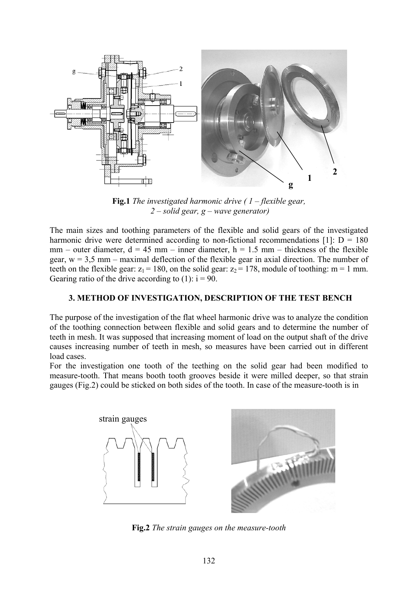

**Fig.1** *The investigated harmonic drive ( 1 – flexible gear, 2 – solid gear, g – wave generator)* 

The main sizes and toothing parameters of the flexible and solid gears of the investigated harmonic drive were determined according to non-fictional recommendations [1]:  $D = 180$  $mm$  – outer diameter,  $d = 45$  mm – inner diameter,  $h = 1.5$  mm – thickness of the flexible gear,  $w = 3.5$  mm – maximal deflection of the flexible gear in axial direction. The number of teeth on the flexible gear:  $z_1 = 180$ , on the solid gear:  $z_2 = 178$ , module of toothing: m = 1 mm. Gearing ratio of the drive according to  $(1)$ :  $i = 90$ .

## **3. METHOD OF INVESTIGATION, DESCRIPTION OF THE TEST BENCH**

The purpose of the investigation of the flat wheel harmonic drive was to analyze the condition of the toothing connection between flexible and solid gears and to determine the number of teeth in mesh. It was supposed that increasing moment of load on the output shaft of the drive causes increasing number of teeth in mesh, so measures have been carried out in different load cases.

For the investigation one tooth of the teething on the solid gear had been modified to measure-tooth. That means booth tooth grooves beside it were milled deeper, so that strain gauges (Fig.2) could be sticked on both sides of the tooth. In case of the measure-tooth is in



**Fig.2** *The strain gauges on the measure-tooth*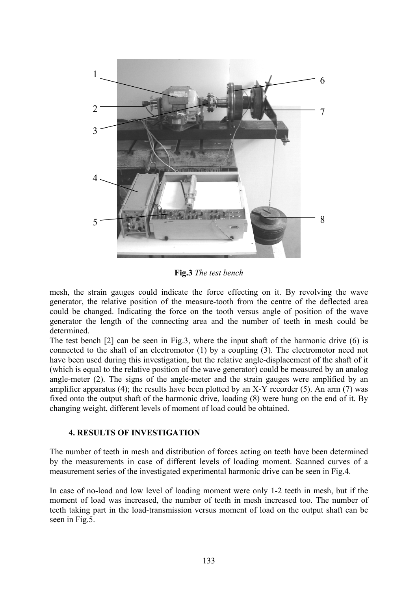

**Fig.3** *The test bench*

mesh, the strain gauges could indicate the force effecting on it. By revolving the wave generator, the relative position of the measure-tooth from the centre of the deflected area could be changed. Indicating the force on the tooth versus angle of position of the wave generator the length of the connecting area and the number of teeth in mesh could be determined.

The test bench [2] can be seen in Fig.3, where the input shaft of the harmonic drive (6) is connected to the shaft of an electromotor (1) by a coupling (3). The electromotor need not have been used during this investigation, but the relative angle-displacement of the shaft of it (which is equal to the relative position of the wave generator) could be measured by an analog angle-meter (2). The signs of the angle-meter and the strain gauges were amplified by an amplifier apparatus (4); the results have been plotted by an  $X-Y$  recorder (5). An arm (7) was fixed onto the output shaft of the harmonic drive, loading (8) were hung on the end of it. By changing weight, different levels of moment of load could be obtained.

### **4. RESULTS OF INVESTIGATION**

The number of teeth in mesh and distribution of forces acting on teeth have been determined by the measurements in case of different levels of loading moment. Scanned curves of a measurement series of the investigated experimental harmonic drive can be seen in Fig.4.

In case of no-load and low level of loading moment were only 1-2 teeth in mesh, but if the moment of load was increased, the number of teeth in mesh increased too. The number of teeth taking part in the load-transmission versus moment of load on the output shaft can be seen in Fig.5.